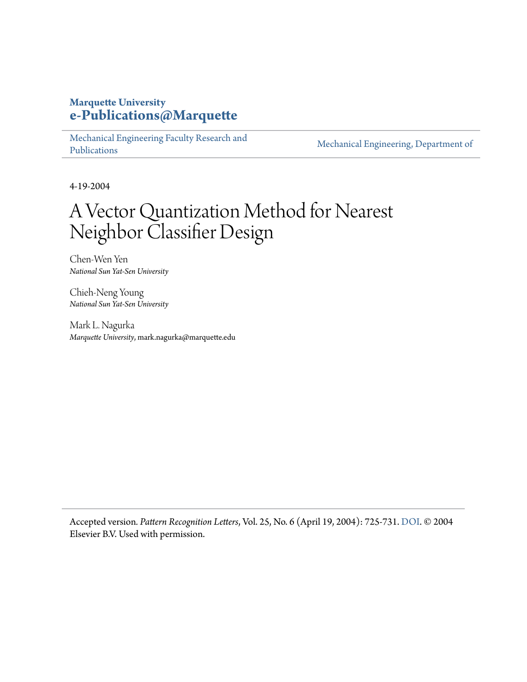#### **Marquette University [e-Publications@Marquette](https://epublications.marquette.edu)**

[Mechanical Engineering Faculty Research and](https://epublications.marquette.edu/mechengin_fac) [Publications](https://epublications.marquette.edu/mechengin_fac)

[Mechanical Engineering, Department of](https://epublications.marquette.edu/mechengin)

4-19-2004

## A Vector Quantization Method for Nearest Neighbor Classifier Design

Chen-Wen Yen *National Sun Yat-Sen University*

Chieh-Neng Young *National Sun Yat-Sen University*

Mark L. Nagurka *Marquette University*, mark.nagurka@marquette.edu

Accepted version*. Pattern Recognition Letters*, Vol. 25, No. 6 (April 19, 2004): 725-731. [DOI.](https://doi.org/10.1016/j.patrec.2004.01.012) © 2004 Elsevier B.V. Used with permission.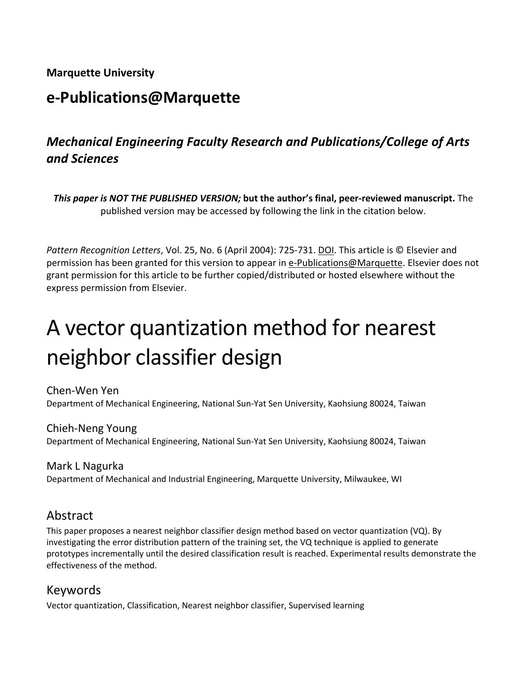#### **Marquette University**

## **e-Publications@Marquette**

### *Mechanical Engineering Faculty Research and Publications/College of Arts and Sciences*

*This paper is NOT THE PUBLISHED VERSION;* **but the author's final, peer-reviewed manuscript.** The published version may be accessed by following the link in the citation below.

*Pattern Recognition Letters*, Vol. 25, No. 6 (April 2004): 725-731. DOI. This article is © Elsevier and permission has been granted for this version to appear in [e-Publications@Marquette.](http://epublications.marquette.edu/) Elsevier does not grant permission for this article to be further copied/distributed or hosted elsewhere without the express permission from Elsevier.

# A vector quantization method for nearest neighbor classifier design

Chen-Wen Yen Department of Mechanical Engineering, National Sun-Yat Sen University, Kaohsiung 80024, Taiwan

Chieh-Neng Young Department of Mechanical Engineering, National Sun-Yat Sen University, Kaohsiung 80024, Taiwan

Mark L Nagurka Department of Mechanical and Industrial Engineering, Marquette University, Milwaukee, WI

#### Abstract

This paper proposes a nearest neighbor classifier design method based on vector quantization (VQ). By investigating the error distribution pattern of the training set, the VQ technique is applied to generate prototypes incrementally until the desired classification result is reached. Experimental results demonstrate the effectiveness of the method.

#### Keywords

Vector quantization, Classification, Nearest neighbor classifier, Supervised learning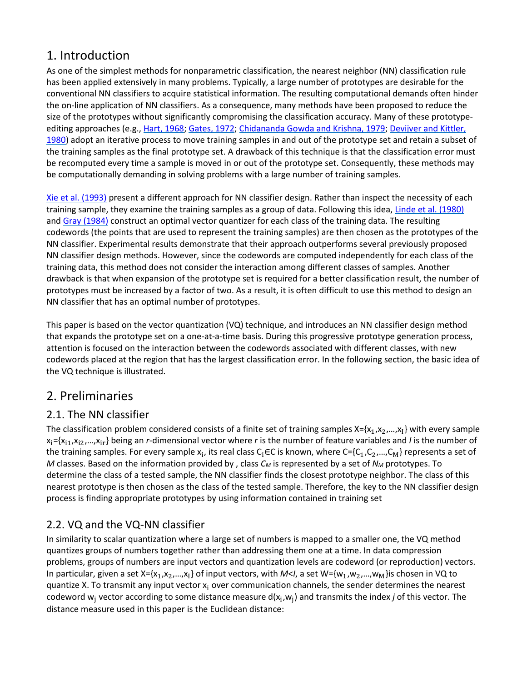#### 1. Introduction

As one of the simplest methods for nonparametric classification, the nearest neighbor (NN) classification rule has been applied extensively in many problems. Typically, a large number of prototypes are desirable for the conventional NN classifiers to acquire statistical information. The resulting computational demands often hinder the on-line application of NN classifiers. As a consequence, many methods have been proposed to reduce the size of the prototypes without significantly compromising the classification accuracy. Many of these prototypeediting approaches (e.g.[, Hart, 1968;](https://www.sciencedirect.com/science/article/pii/S016786550400025X?via%3Dihub#BIB5) [Gates, 1972;](https://www.sciencedirect.com/science/article/pii/S016786550400025X?via%3Dihub#BIB3) [Chidananda Gowda and Krishna, 1979;](https://www.sciencedirect.com/science/article/pii/S016786550400025X?via%3Dihub#BIB1) [Devijver and Kittler,](https://www.sciencedirect.com/science/article/pii/S016786550400025X?via%3Dihub#BIB2)  [1980\)](https://www.sciencedirect.com/science/article/pii/S016786550400025X?via%3Dihub#BIB2) adopt an iterative process to move training samples in and out of the prototype set and retain a subset of the training samples as the final prototype set. A drawback of this technique is that the classification error must be recomputed every time a sample is moved in or out of the prototype set. Consequently, these methods may be computationally demanding in solving problems with a large number of training samples.

[Xie et al. \(1993\)](https://www.sciencedirect.com/science/article/pii/S016786550400025X?via%3Dihub#BIB10) present a different approach for NN classifier design. Rather than inspect the necessity of each training sample, they examine the training samples as a group of data. Following this idea, [Linde et al. \(1980\)](https://www.sciencedirect.com/science/article/pii/S016786550400025X?via%3Dihub#BIB8) and [Gray \(1984\)](https://www.sciencedirect.com/science/article/pii/S016786550400025X?via%3Dihub#BIB4) construct an optimal vector quantizer for each class of the training data. The resulting codewords (the points that are used to represent the training samples) are then chosen as the prototypes of the NN classifier. Experimental results demonstrate that their approach outperforms several previously proposed NN classifier design methods. However, since the codewords are computed independently for each class of the training data, this method does not consider the interaction among different classes of samples. Another drawback is that when expansion of the prototype set is required for a better classification result, the number of prototypes must be increased by a factor of two. As a result, it is often difficult to use this method to design an NN classifier that has an optimal number of prototypes.

This paper is based on the vector quantization (VQ) technique, and introduces an NN classifier design method that expands the prototype set on a one-at-a-time basis. During this progressive prototype generation process, attention is focused on the interaction between the codewords associated with different classes, with new codewords placed at the region that has the largest classification error. In the following section, the basic idea of the VQ technique is illustrated.

#### 2. Preliminaries

#### 2.1. The NN classifier

The classification problem considered consists of a finite set of training samples  $X=[x_1,x_2,...,x_k]$  with every sample  $x_i = {x_{i1}, x_{i2},...,x_{ir}}$  being an *r*-dimensional vector where *r* is the number of feature variables and *I* is the number of the training samples. For every sample  $x_i$ , its real class C<sub>i</sub>∈C is known, where C={C<sub>1</sub>,C<sub>2</sub>,...,C<sub>M</sub>} represents a set of *M* classes. Based on the information provided by, class  $C_M$  is represented by a set of  $N_M$  prototypes. To determine the class of a tested sample, the NN classifier finds the closest prototype neighbor. The class of this nearest prototype is then chosen as the class of the tested sample. Therefore, the key to the NN classifier design process is finding appropriate prototypes by using information contained in training set

#### 2.2. VQ and the VQ-NN classifier

In similarity to scalar quantization where a large set of numbers is mapped to a smaller one, the VQ method quantizes groups of numbers together rather than addressing them one at a time. In data compression problems, groups of numbers are input vectors and quantization levels are codeword (or reproduction) vectors. In particular, given a set X={x<sub>1</sub>,x<sub>2</sub>,...,x<sub>I</sub>} of input vectors, with *M<I*, a set W={w<sub>1</sub>,w<sub>2</sub>,...,w<sub>M</sub>}is chosen in VQ to quantize X. To transmit any input vector x<sub>i</sub> over communication channels, the sender determines the nearest codeword w<sub>i</sub> vector according to some distance measure  $d(x_i,w_i)$  and transmits the index *j* of this vector. The distance measure used in this paper is the Euclidean distance: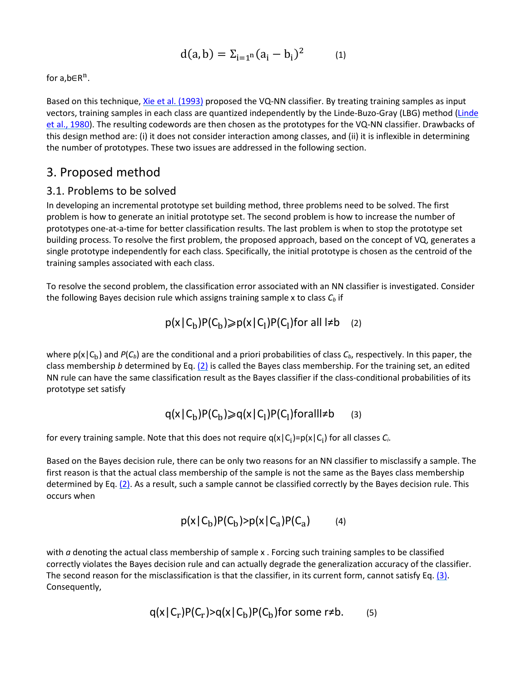$$
d(a,b) = \Sigma_{i=1^n} (a_i - b_i)^2
$$
 (1)

for  $a,b \in R^n$ .

Based on this technique, [Xie et al. \(1993\)](https://www.sciencedirect.com/science/article/pii/S016786550400025X?via%3Dihub#BIB10) proposed the VQ-NN classifier. By treating training samples as input vectors, training samples in each class are quantized independently by the Linde-Buzo-Gray (LBG) method (Linde [et al., 1980\)](https://www.sciencedirect.com/science/article/pii/S016786550400025X?via%3Dihub#BIB8). The resulting codewords are then chosen as the prototypes for the VQ-NN classifier. Drawbacks of this design method are: (i) it does not consider interaction among classes, and (ii) it is inflexible in determining the number of prototypes. These two issues are addressed in the following section.

#### 3. Proposed method

#### 3.1. Problems to be solved

In developing an incremental prototype set building method, three problems need to be solved. The first problem is how to generate an initial prototype set. The second problem is how to increase the number of prototypes one-at-a-time for better classification results. The last problem is when to stop the prototype set building process. To resolve the first problem, the proposed approach, based on the concept of VQ, generates a single prototype independently for each class. Specifically, the initial prototype is chosen as the centroid of the training samples associated with each class.

To resolve the second problem, the classification error associated with an NN classifier is investigated. Consider the following Bayes decision rule which assigns training sample  $x$  to class  $C_b$  if

$$
p(x | C_b)P(C_b) \geqslant p(x | C_l)P(C_l) \text{ for all } l \neq b \quad (2)
$$

where  $p(x|C_b)$  and  $P(C_b)$  are the conditional and a priori probabilities of class  $C_b$ , respectively. In this paper, the class membership *b* determined by Eq[. \(2\)](https://www.sciencedirect.com/science/article/pii/S016786550400025X?via%3Dihub#FD1) is called the Bayes class membership. For the training set, an edited NN rule can have the same classification result as the Bayes classifier if the class-conditional probabilities of its prototype set satisfy

$$
q(x | C_b)P(C_b) \geqslant q(x | C_l)P(C_l) \text{for all} \neq b \qquad (3)
$$

for every training sample. Note that this does not require  $q(x|C_i)=p(x|C_i)$  for all classes  $C_i$ .

Based on the Bayes decision rule, there can be only two reasons for an NN classifier to misclassify a sample. The first reason is that the actual class membership of the sample is not the same as the Bayes class membership determined by Eq[. \(2\).](https://www.sciencedirect.com/science/article/pii/S016786550400025X?via%3Dihub#FD1) As a result, such a sample cannot be classified correctly by the Bayes decision rule. This occurs when

$$
p(x | C_b)P(C_b) > p(x | C_a)P(C_a)
$$
 (4)

with *a* denoting the actual class membership of sample x . Forcing such training samples to be classified correctly violates the Bayes decision rule and can actually degrade the generalization accuracy of the classifier. The second reason for the misclassification is that the classifier, in its current form, cannot satisfy Eq.  $(3)$ . Consequently,

$$
q(x|C_r)P(C_r) > q(x|C_b)P(C_b)
$$
for some r≠b. (5)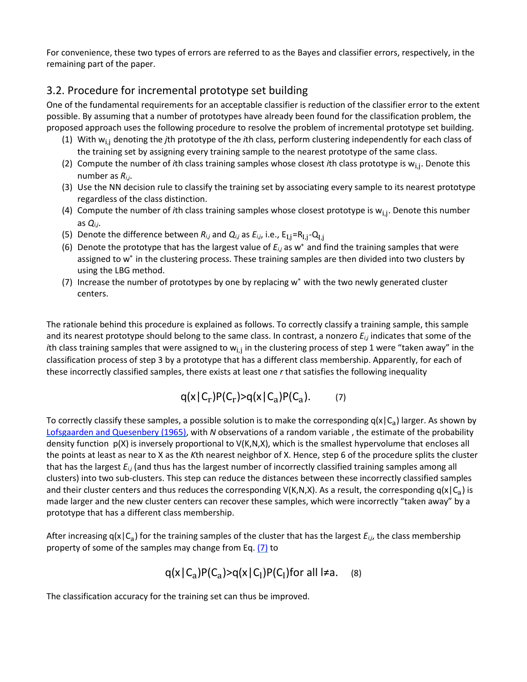For convenience, these two types of errors are referred to as the Bayes and classifier errors, respectively, in the remaining part of the paper.

#### 3.2. Procedure for incremental prototype set building

One of the fundamental requirements for an acceptable classifier is reduction of the classifier error to the extent possible. By assuming that a number of prototypes have already been found for the classification problem, the proposed approach uses the following procedure to resolve the problem of incremental prototype set building.

- (1) With wi,<sup>j</sup> denoting the *j*th prototype of the *i*th class, perform clustering independently for each class of the training set by assigning every training sample to the nearest prototype of the same class.
- (2) Compute the number of *i*th class training samples whose closest *i*th class prototype is wi,j. Denote this number as *Ri*,*<sup>j</sup>*.
- (3) Use the NN decision rule to classify the training set by associating every sample to its nearest prototype regardless of the class distinction.
- (4) Compute the number of *i*th class training samples whose closest prototype is wi,j. Denote this number as *Qi*,*<sup>j</sup>*.
- (5) Denote the difference between  $R_{i,j}$  and  $Q_{i,j}$  as  $E_{i,j}$ , i.e.,  $E_{I,j} = R_{I,j} Q_{I,j}$
- (6) Denote the prototype that has the largest value of *Ei*,*<sup>j</sup>* as w∗ and find the training samples that were assigned to w∗ in the clustering process. These training samples are then divided into two clusters by using the LBG method.
- (7) Increase the number of prototypes by one by replacing w∗ with the two newly generated cluster centers.

The rationale behind this procedure is explained as follows. To correctly classify a training sample, this sample and its nearest prototype should belong to the same class. In contrast, a nonzero *Ei*,*<sup>j</sup>* indicates that some of the *i*th class training samples that were assigned to w<sub>i,j</sub> in the clustering process of step 1 were "taken away" in the classification process of step 3 by a prototype that has a different class membership. Apparently, for each of these incorrectly classified samples, there exists at least one *r* that satisfies the following inequality

$$
q(x|C_r)P(C_r) > q(x|C_a)P(C_a). \qquad (7)
$$

To correctly classify these samples, a possible solution is to make the corresponding  $q(x|C_a)$  larger. As shown by [Lofsgaarden and Quesenbery \(1965\),](https://www.sciencedirect.com/science/article/pii/S016786550400025X?via%3Dihub#BIB9) with *N* observations of a random variable , the estimate of the probability density function p(X) is inversely proportional to V(K,N,X), which is the smallest hypervolume that encloses all the points at least as near to X as the *K*th nearest neighbor of X. Hence, step 6 of the procedure splits the cluster that has the largest *Ei*,*<sup>j</sup>* (and thus has the largest number of incorrectly classified training samples among all clusters) into two sub-clusters. This step can reduce the distances between these incorrectly classified samples and their cluster centers and thus reduces the corresponding  $V(K,N,X)$ . As a result, the corresponding  $q(x|C_a)$  is made larger and the new cluster centers can recover these samples, which were incorrectly "taken away" by a prototype that has a different class membership.

After increasing  $q(x|C_a)$  for the training samples of the cluster that has the largest  $E_{i,j}$ , the class membership property of some of the samples may change from Eq. [\(7\)](https://www.sciencedirect.com/science/article/pii/S016786550400025X?via%3Dihub#FD3) to

$$
q(x | C_a)P(C_a) > q(x | C_1)P(C_1) \text{ for all } l \neq a. \quad (8)
$$

The classification accuracy for the training set can thus be improved.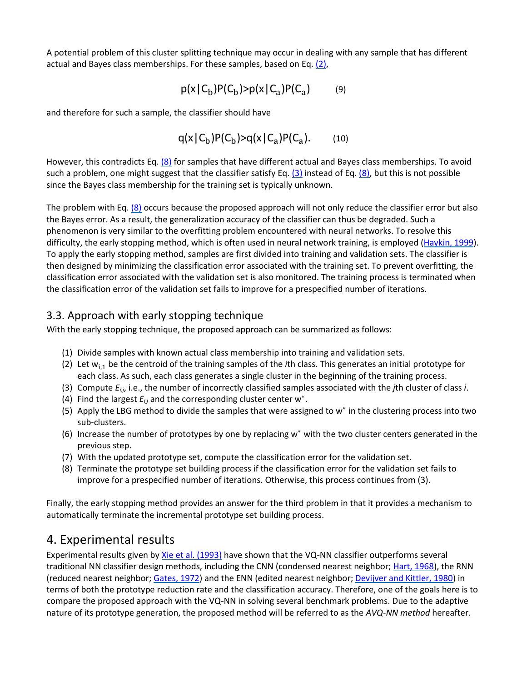A potential problem of this cluster splitting technique may occur in dealing with any sample that has different actual and Bayes class memberships. For these samples, based on Eq[. \(2\),](https://www.sciencedirect.com/science/article/pii/S016786550400025X?via%3Dihub#FD1)

$$
p(x | C_b)P(C_b) > p(x | C_a)P(C_a)
$$
 (9)

and therefore for such a sample, the classifier should have

$$
q(x|C_b)P(C_b) > q(x|C_a)P(C_a). \qquad (10)
$$

However, this contradicts Eq. [\(8\)](https://www.sciencedirect.com/science/article/pii/S016786550400025X?via%3Dihub#FD4) for samples that have different actual and Bayes class memberships. To avoid such a problem, one might suggest that the classifier satisfy Eq.  $(3)$  instead of Eq.  $(8)$ , but this is not possible since the Bayes class membership for the training set is typically unknown.

The problem with Eq.  $(8)$  occurs because the proposed approach will not only reduce the classifier error but also the Bayes error. As a result, the generalization accuracy of the classifier can thus be degraded. Such a phenomenon is very similar to the overfitting problem encountered with neural networks. To resolve this difficulty, the early stopping method, which is often used in neural network training, is employed [\(Haykin, 1999\)](https://www.sciencedirect.com/science/article/pii/S016786550400025X?via%3Dihub#BIB6). To apply the early stopping method, samples are first divided into training and validation sets. The classifier is then designed by minimizing the classification error associated with the training set. To prevent overfitting, the classification error associated with the validation set is also monitored. The training process is terminated when the classification error of the validation set fails to improve for a prespecified number of iterations.

#### 3.3. Approach with early stopping technique

With the early stopping technique, the proposed approach can be summarized as follows:

- (1) Divide samples with known actual class membership into training and validation sets.
- (2) Let w<sub>i.1</sub> be the centroid of the training samples of the *i*th class. This generates an initial prototype for each class. As such, each class generates a single cluster in the beginning of the training process.
- (3) Compute *Ei*,*<sup>j</sup>*, i.e., the number of incorrectly classified samples associated with the *j*th cluster of class *i*.
- (4) Find the largest *Ei*,*<sup>j</sup>* and the corresponding cluster center w∗.
- (5) Apply the LBG method to divide the samples that were assigned to w∗ in the clustering process into two sub-clusters.
- (6) Increase the number of prototypes by one by replacing w∗ with the two cluster centers generated in the previous step.
- (7) With the updated prototype set, compute the classification error for the validation set.
- (8) Terminate the prototype set building process if the classification error for the validation set fails to improve for a prespecified number of iterations. Otherwise, this process continues from (3).

Finally, the early stopping method provides an answer for the third problem in that it provides a mechanism to automatically terminate the incremental prototype set building process.

#### 4. Experimental results

Experimental results given by [Xie et al. \(1993\)](https://www.sciencedirect.com/science/article/pii/S016786550400025X?via%3Dihub#BIB10) have shown that the VQ-NN classifier outperforms several traditional NN classifier design methods, including the CNN (condensed nearest neighbor; [Hart, 1968\)](https://www.sciencedirect.com/science/article/pii/S016786550400025X?via%3Dihub#BIB5), the RNN (reduced nearest neighbor[; Gates, 1972\)](https://www.sciencedirect.com/science/article/pii/S016786550400025X?via%3Dihub#BIB3) and the ENN (edited nearest neighbor[; Devijver and Kittler, 1980\)](https://www.sciencedirect.com/science/article/pii/S016786550400025X?via%3Dihub#BIB2) in terms of both the prototype reduction rate and the classification accuracy. Therefore, one of the goals here is to compare the proposed approach with the VQ-NN in solving several benchmark problems. Due to the adaptive nature of its prototype generation, the proposed method will be referred to as the *AVQ-NN method* hereafter.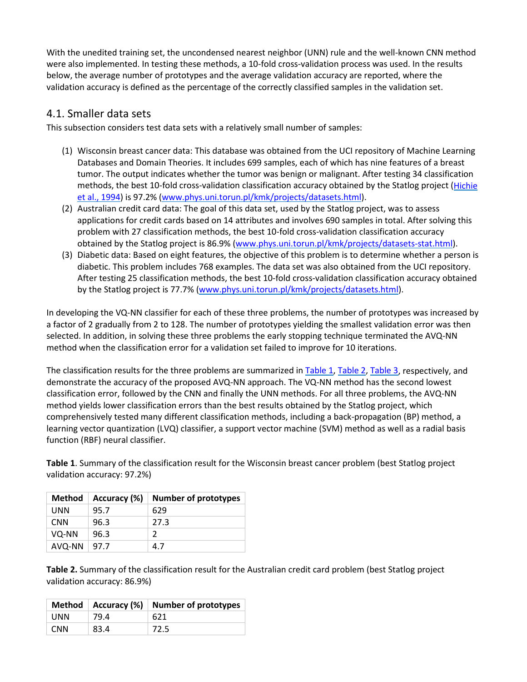With the unedited training set, the uncondensed nearest neighbor (UNN) rule and the well-known CNN method were also implemented. In testing these methods, a 10-fold cross-validation process was used. In the results below, the average number of prototypes and the average validation accuracy are reported, where the validation accuracy is defined as the percentage of the correctly classified samples in the validation set.

#### 4.1. Smaller data sets

This subsection considers test data sets with a relatively small number of samples:

- (1) Wisconsin breast cancer data: This database was obtained from the UCI repository of Machine Learning Databases and Domain Theories. It includes 699 samples, each of which has nine features of a breast tumor. The output indicates whether the tumor was benign or malignant. After testing 34 classification methods, the best 10-fold cross-validation classification accuracy obtained by the Statlog project [\(Hichie](https://www.sciencedirect.com/science/article/pii/S016786550400025X?via%3Dihub#BIB7)  [et al., 1994\)](https://www.sciencedirect.com/science/article/pii/S016786550400025X?via%3Dihub#BIB7) is 97.2% [\(www.phys.uni.torun.pl/kmk/projects/datasets.html\)](http://www.phys.uni.torun.pl/kmk/projects/datasets.html).
- (2) Australian credit card data: The goal of this data set, used by the Statlog project, was to assess applications for credit cards based on 14 attributes and involves 690 samples in total. After solving this problem with 27 classification methods, the best 10-fold cross-validation classification accuracy obtained by the Statlog project is 86.9% [\(www.phys.uni.torun.pl/kmk/projects/datasets-stat.html\)](http://www.phys.uni.torun.pl/kmk/projects/datasets-stat.html).
- (3) Diabetic data: Based on eight features, the objective of this problem is to determine whether a person is diabetic. This problem includes 768 examples. The data set was also obtained from the UCI repository. After testing 25 classification methods, the best 10-fold cross-validation classification accuracy obtained by the Statlog project is 77.7% [\(www.phys.uni.torun.pl/kmk/projects/datasets.html\)](http://www.phys.uni.torun.pl/kmk/projects/datasets.html).

In developing the VQ-NN classifier for each of these three problems, the number of prototypes was increased by a factor of 2 gradually from 2 to 128. The number of prototypes yielding the smallest validation error was then selected. In addition, in solving these three problems the early stopping technique terminated the AVQ-NN method when the classification error for a validation set failed to improve for 10 iterations.

The classification results for the three problems are summarized in [Table 1,](https://www.sciencedirect.com/science/article/pii/S016786550400025X?via%3Dihub#TBL1) [Table 2,](https://www.sciencedirect.com/science/article/pii/S016786550400025X?via%3Dihub#TBL2) [Table 3,](https://www.sciencedirect.com/science/article/pii/S016786550400025X?via%3Dihub#TBL3) respectively, and demonstrate the accuracy of the proposed AVQ-NN approach. The VQ-NN method has the second lowest classification error, followed by the CNN and finally the UNN methods. For all three problems, the AVQ-NN method yields lower classification errors than the best results obtained by the Statlog project, which comprehensively tested many different classification methods, including a back-propagation (BP) method, a learning vector quantization (LVQ) classifier, a support vector machine (SVM) method as well as a radial basis function (RBF) neural classifier.

**Table 1**. Summary of the classification result for the Wisconsin breast cancer problem (best Statlog project validation accuracy: 97.2%)

| <b>Method</b> | Accuracy (%) | <b>Number of prototypes</b> |
|---------------|--------------|-----------------------------|
| UNN           | 95.7         | 629                         |
| CNN           | 96.3         | 27.3                        |
| VQ-NN         | 96.3         | 2                           |
| AVQ-NN        | 97.7         | 4.7                         |

**Table 2.** Summary of the classification result for the Australian credit card problem (best Statlog project validation accuracy: 86.9%)

|            |      | Method   Accuracy $(\%)$   Number of prototypes |
|------------|------|-------------------------------------------------|
| <b>UNN</b> | 79.4 | 621                                             |
| <b>CNN</b> | 83.4 | 72.5                                            |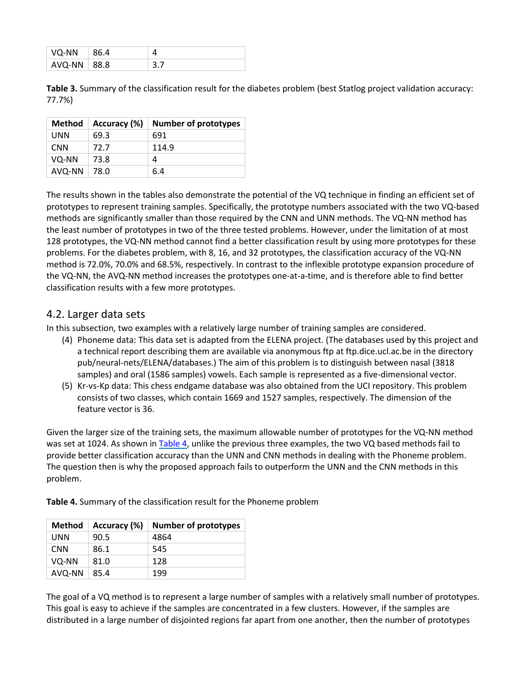| VQ-NN           | 86.4 |  |
|-----------------|------|--|
| $AVQ-NN$   88.8 |      |  |

**Table 3.** Summary of the classification result for the diabetes problem (best Statlog project validation accuracy: 77.7%)

| <b>Method</b> | Accuracy (%) | <b>Number of prototypes</b> |
|---------------|--------------|-----------------------------|
| UNN           | 69.3         | 691                         |
| CNN           | 72.7         | 114.9                       |
| VQ-NN         | 73.8         | 4                           |
| AVQ-NN        | 78.0         | 6.4                         |

The results shown in the tables also demonstrate the potential of the VQ technique in finding an efficient set of prototypes to represent training samples. Specifically, the prototype numbers associated with the two VQ-based methods are significantly smaller than those required by the CNN and UNN methods. The VQ-NN method has the least number of prototypes in two of the three tested problems. However, under the limitation of at most 128 prototypes, the VQ-NN method cannot find a better classification result by using more prototypes for these problems. For the diabetes problem, with 8, 16, and 32 prototypes, the classification accuracy of the VQ-NN method is 72.0%, 70.0% and 68.5%, respectively. In contrast to the inflexible prototype expansion procedure of the VQ-NN, the AVQ-NN method increases the prototypes one-at-a-time, and is therefore able to find better classification results with a few more prototypes.

#### 4.2. Larger data sets

In this subsection, two examples with a relatively large number of training samples are considered.

- (4) Phoneme data: This data set is adapted from the ELENA project. (The databases used by this project and a technical report describing them are available via anonymous ftp at ftp.dice.ucl.ac.be in the directory pub/neural-nets/ELENA/databases.) The aim of this problem is to distinguish between nasal (3818 samples) and oral (1586 samples) vowels. Each sample is represented as a five-dimensional vector.
- (5) Kr-vs-Kp data: This chess endgame database was also obtained from the UCI repository. This problem consists of two classes, which contain 1669 and 1527 samples, respectively. The dimension of the feature vector is 36.

Given the larger size of the training sets, the maximum allowable number of prototypes for the VQ-NN method was set at 1024. As shown in [Table 4,](https://www.sciencedirect.com/science/article/pii/S016786550400025X?via%3Dihub#TBL4) unlike the previous three examples, the two VQ based methods fail to provide better classification accuracy than the UNN and CNN methods in dealing with the Phoneme problem. The question then is why the proposed approach fails to outperform the UNN and the CNN methods in this problem.

| <b>Method</b> | Accuracy (%) | <b>Number of prototypes</b> |
|---------------|--------------|-----------------------------|
| UNN           | 90.5         | 4864                        |
| <b>CNN</b>    | 86.1         | 545                         |
| VQ-NN         | 81.0         | 128                         |
| AVQ-NN        | 85.4         | 199                         |

**Table 4.** Summary of the classification result for the Phoneme problem

The goal of a VQ method is to represent a large number of samples with a relatively small number of prototypes. This goal is easy to achieve if the samples are concentrated in a few clusters. However, if the samples are distributed in a large number of disjointed regions far apart from one another, then the number of prototypes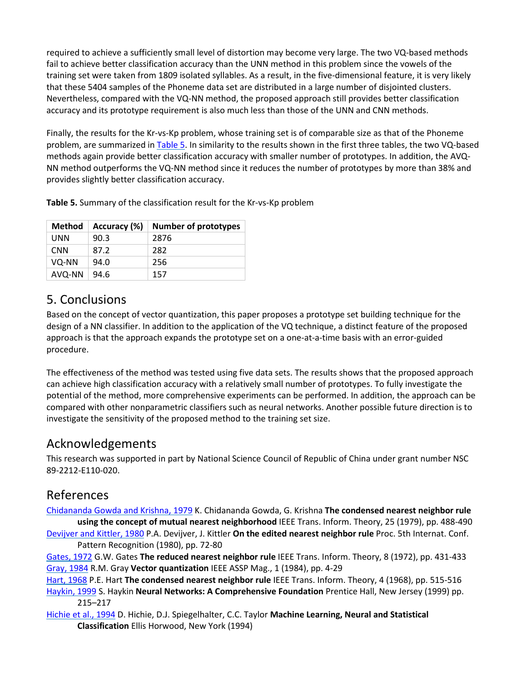required to achieve a sufficiently small level of distortion may become very large. The two VQ-based methods fail to achieve better classification accuracy than the UNN method in this problem since the vowels of the training set were taken from 1809 isolated syllables. As a result, in the five-dimensional feature, it is very likely that these 5404 samples of the Phoneme data set are distributed in a large number of disjointed clusters. Nevertheless, compared with the VQ-NN method, the proposed approach still provides better classification accuracy and its prototype requirement is also much less than those of the UNN and CNN methods.

Finally, the results for the Kr-vs-Kp problem, whose training set is of comparable size as that of the Phoneme problem, are summarized in [Table 5.](https://www.sciencedirect.com/science/article/pii/S016786550400025X?via%3Dihub#TBL5) In similarity to the results shown in the first three tables, the two VQ-based methods again provide better classification accuracy with smaller number of prototypes. In addition, the AVQ-NN method outperforms the VQ-NN method since it reduces the number of prototypes by more than 38% and provides slightly better classification accuracy.

**Table 5.** Summary of the classification result for the Kr-vs-Kp problem

| <b>Method</b> | Accuracy (%) | <b>Number of prototypes</b> |
|---------------|--------------|-----------------------------|
| <b>UNN</b>    | 90.3         | 2876                        |
| <b>CNN</b>    | 87.2         | 282                         |
| VQ-NN         | 94.0         | 256                         |
| AVQ-NN        | 94.6         | 157                         |

#### 5. Conclusions

Based on the concept of vector quantization, this paper proposes a prototype set building technique for the design of a NN classifier. In addition to the application of the VQ technique, a distinct feature of the proposed approach is that the approach expands the prototype set on a one-at-a-time basis with an error-guided procedure.

The effectiveness of the method was tested using five data sets. The results shows that the proposed approach can achieve high classification accuracy with a relatively small number of prototypes. To fully investigate the potential of the method, more comprehensive experiments can be performed. In addition, the approach can be compared with other nonparametric classifiers such as neural networks. Another possible future direction is to investigate the sensitivity of the proposed method to the training set size.

#### Acknowledgements

This research was supported in part by National Science Council of Republic of China under grant number NSC 89-2212-E110-020.

#### References

[Chidananda Gowda and Krishna, 1979](https://www.sciencedirect.com/science/article/pii/S016786550400025X?via%3Dihub#bBIB1) K. Chidananda Gowda, G. Krishna **The condensed nearest neighbor rule using the concept of mutual nearest neighborhood** IEEE Trans. Inform. Theory, 25 (1979), pp. 488-490 [Devijver and Kittler, 1980](https://www.sciencedirect.com/science/article/pii/S016786550400025X?via%3Dihub#bBIB2) P.A. Devijver, J. Kittler **On the edited nearest neighbor rule** Proc. 5th Internat. Conf.

Pattern Recognition (1980), pp. 72-80

[Gates, 1972](https://www.sciencedirect.com/science/article/pii/S016786550400025X?via%3Dihub#bBIB3) G.W. Gates **The reduced nearest neighbor rule** IEEE Trans. Inform. Theory, 8 (1972), pp. 431-433 [Gray, 1984](https://www.sciencedirect.com/science/article/pii/S016786550400025X?via%3Dihub#bBIB4) R.M. Gray **Vector quantization** IEEE ASSP Mag., 1 (1984), pp. 4-29

[Hart, 1968](https://www.sciencedirect.com/science/article/pii/S016786550400025X?via%3Dihub#bBIB5) P.E. Hart **The condensed nearest neighbor rule** IEEE Trans. Inform. Theory, 4 (1968), pp. 515-516 [Haykin, 1999](https://www.sciencedirect.com/science/article/pii/S016786550400025X?via%3Dihub#bBIB6) S. Haykin **Neural Networks: A Comprehensive Foundation** Prentice Hall, New Jersey (1999) pp. 215–217

[Hichie et al., 1994](https://www.sciencedirect.com/science/article/pii/S016786550400025X?via%3Dihub#bBIB7) D. Hichie, D.J. Spiegelhalter, C.C. Taylor **Machine Learning, Neural and Statistical Classification** Ellis Horwood, New York (1994)